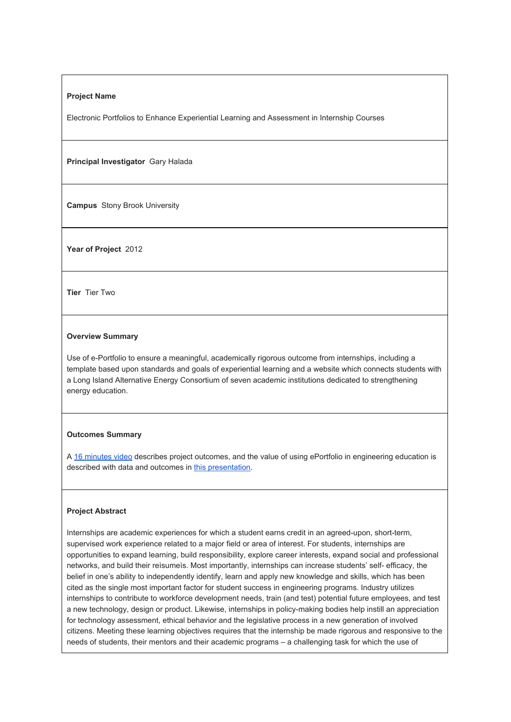### **Project Name**

Electronic Portfolios to Enhance Experiential Learning and Assessment in Internship Courses

**Principal Investigator** Gary Halada

**Campus** Stony Brook University

**Year of Project** 2012

**Tier** Tier Two

## **Overview Summary**

Use of e-Portfolio to ensure a meaningful, academically rigorous outcome from internships, including a template based upon standards and goals of experiential learning and a website which connects students with a Long Island Alternative Energy Consortium of seven academic institutions dedicated to strengthening energy education.

### **Outcomes Summary**

A 16 [minutes](https://www.youtube.com/watch?v=nx4tkG7Nn9I) video describes project outcomes, and the value of using ePortfolio in engineering education is described with data and outcomes in this [presentation.](http://commons.suny.edu/iitg/wp-content/blogs.dir/13/files/gravity_forms/1-f2e12de78548521193e381fe7677a089/2014/01/e-internship-Sparks-presentation-2013.pdf)

#### **Project Abstract**

Internships are academic experiences for which a student earns credit in an agreed-upon, short-term, supervised work experience related to a major field or area of interest. For students, internships are opportunities to expand learning, build responsibility, explore career interests, expand social and professional networks, and build their reìsumeìs. Most importantly, internships can increase students' self efficacy, the belief in one's ability to independently identify, learn and apply new knowledge and skills, which has been cited as the single most important factor for student success in engineering programs. Industry utilizes internships to contribute to workforce development needs, train (and test) potential future employees, and test a new technology, design or product. Likewise, internships in policy-making bodies help instill an appreciation for technology assessment, ethical behavior and the legislative process in a new generation of involved citizens. Meeting these learning objectives requires that the internship be made rigorous and responsive to the needs of students, their mentors and their academic programs – a challenging task for which the use of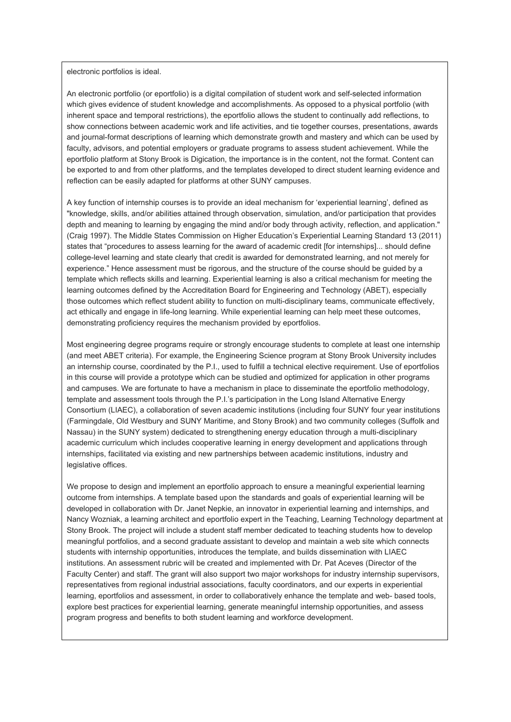#### electronic portfolios is ideal.

An electronic portfolio (or eportfolio) is a digital compilation of student work and self-selected information which gives evidence of student knowledge and accomplishments. As opposed to a physical portfolio (with inherent space and temporal restrictions), the eportfolio allows the student to continually add reflections, to show connections between academic work and life activities, and tie together courses, presentations, awards and journal-format descriptions of learning which demonstrate growth and mastery and which can be used by faculty, advisors, and potential employers or graduate programs to assess student achievement. While the eportfolio platform at Stony Brook is Digication, the importance is in the content, not the format. Content can be exported to and from other platforms, and the templates developed to direct student learning evidence and reflection can be easily adapted for platforms at other SUNY campuses.

A key function of internship courses is to provide an ideal mechanism for 'experiential learning', defined as "knowledge, skills, and/or abilities attained through observation, simulation, and/or participation that provides depth and meaning to learning by engaging the mind and/or body through activity, reflection, and application." (Craig 1997). The Middle States Commission on Higher Education's Experiential Learning Standard 13 (2011) states that "procedures to assess learning for the award of academic credit [for internships]... should define college-level learning and state clearly that credit is awarded for demonstrated learning, and not merely for experience." Hence assessment must be rigorous, and the structure of the course should be guided by a template which reflects skills and learning. Experiential learning is also a critical mechanism for meeting the learning outcomes defined by the Accreditation Board for Engineering and Technology (ABET), especially those outcomes which reflect student ability to function on multi-disciplinary teams, communicate effectively, act ethically and engage in life-long learning. While experiential learning can help meet these outcomes, demonstrating proficiency requires the mechanism provided by eportfolios.

Most engineering degree programs require or strongly encourage students to complete at least one internship (and meet ABET criteria). For example, the Engineering Science program at Stony Brook University includes an internship course, coordinated by the P.I., used to fulfill a technical elective requirement. Use of eportfolios in this course will provide a prototype which can be studied and optimized for application in other programs and campuses. We are fortunate to have a mechanism in place to disseminate the eportfolio methodology, template and assessment tools through the P.I.'s participation in the Long Island Alternative Energy Consortium (LIAEC), a collaboration of seven academic institutions (including four SUNY four year institutions (Farmingdale, Old Westbury and SUNY Maritime, and Stony Brook) and two community colleges (Suffolk and Nassau) in the SUNY system) dedicated to strengthening energy education through a multi-disciplinary academic curriculum which includes cooperative learning in energy development and applications through internships, facilitated via existing and new partnerships between academic institutions, industry and legislative offices.

We propose to design and implement an eportfolio approach to ensure a meaningful experiential learning outcome from internships. A template based upon the standards and goals of experiential learning will be developed in collaboration with Dr. Janet Nepkie, an innovator in experiential learning and internships, and Nancy Wozniak, a learning architect and eportfolio expert in the Teaching, Learning Technology department at Stony Brook. The project will include a student staff member dedicated to teaching students how to develop meaningful portfolios, and a second graduate assistant to develop and maintain a web site which connects students with internship opportunities, introduces the template, and builds dissemination with LIAEC institutions. An assessment rubric will be created and implemented with Dr. Pat Aceves (Director of the Faculty Center) and staff. The grant will also support two major workshops for industry internship supervisors, representatives from regional industrial associations, faculty coordinators, and our experts in experiential learning, eportfolios and assessment, in order to collaboratively enhance the template and web- based tools, explore best practices for experiential learning, generate meaningful internship opportunities, and assess program progress and benefits to both student learning and workforce development.